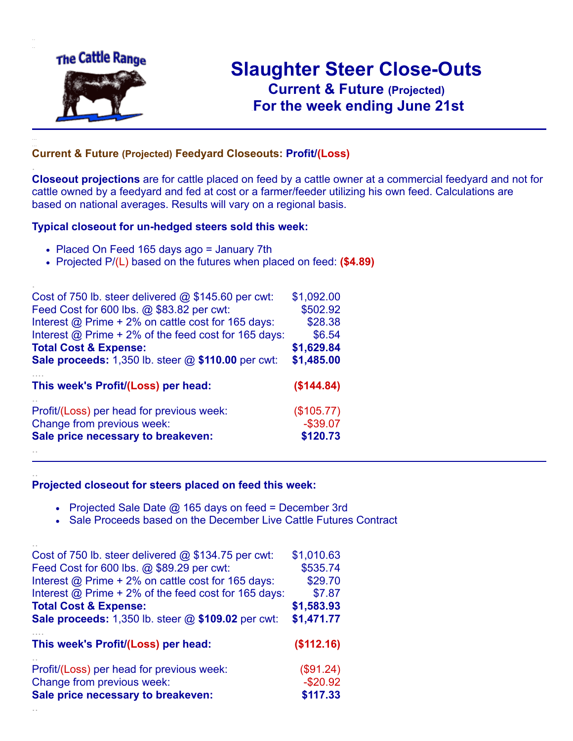

.

..

# **Slaughter Steer Close-Outs Current & Future (Projected)** .**For the week ending June 21st**

### **Current & Future (Projected) Feedyard Closeouts: Profit/(Loss)**

**Closeout projections** are for cattle placed on feed by a cattle owner at a commercial feedyard and not for cattle owned by a feedyard and fed at cost or a farmer/feeder utilizing his own feed. Calculations are based on national averages. Results will vary on a regional basis.

#### **Typical closeout for un-hedged steers sold this week:**

- Placed On Feed 165 days ago = January 7th
- Projected P/(L) based on the futures when placed on feed: **(\$4.89)**

| Cost of 750 lb. steer delivered $@$ \$145.60 per cwt:       | \$1,092.00  |
|-------------------------------------------------------------|-------------|
| Feed Cost for 600 lbs. @ \$83.82 per cwt:                   | \$502.92    |
| Interest @ Prime + 2% on cattle cost for 165 days:          | \$28.38     |
| Interest $@$ Prime + 2% of the feed cost for 165 days:      | \$6.54      |
| <b>Total Cost &amp; Expense:</b>                            | \$1,629.84  |
| <b>Sale proceeds:</b> 1,350 lb. steer $@$ \$110.00 per cwt: | \$1,485.00  |
| This week's Profit/(Loss) per head:                         | (\$144.84)  |
| Profit/(Loss) per head for previous week:                   | (\$105.77)  |
| Change from previous week:                                  | $-$ \$39.07 |
| Sale price necessary to breakeven:                          | \$120.73    |
|                                                             |             |

#### **Projected closeout for steers placed on feed this week:**

- Projected Sale Date  $@$  165 days on feed = December 3rd
- Sale Proceeds based on the December Live Cattle Futures Contract

| Cost of 750 lb. steer delivered $@$ \$134.75 per cwt:  | \$1,010.63 |
|--------------------------------------------------------|------------|
| Feed Cost for 600 lbs. @ \$89.29 per cwt:              | \$535.74   |
| Interest @ Prime + 2% on cattle cost for 165 days:     | \$29.70    |
| Interest $@$ Prime + 2% of the feed cost for 165 days: | \$7.87     |
| <b>Total Cost &amp; Expense:</b>                       | \$1,583.93 |
| Sale proceeds: 1,350 lb. steer @ \$109.02 per cwt:     | \$1,471.77 |
|                                                        |            |
| This week's Profit/(Loss) per head:                    | (\$112.16) |
| Profit/(Loss) per head for previous week:              | (\$91.24)  |
| Change from previous week:                             | $-$20.92$  |
| Sale price necessary to breakeven:                     | \$117.33   |